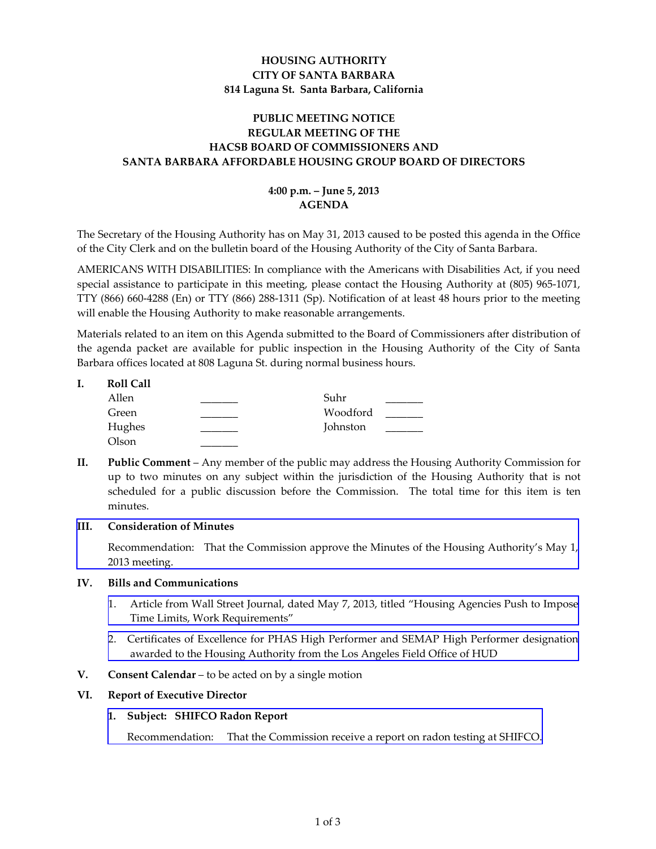# **HOUSING AUTHORITY CITY OF SANTA BARBARA 814 Laguna St. Santa Barbara, California**

# **PUBLIC MEETING NOTICE REGULAR MEETING OF THE HACSB BOARD OF COMMISSIONERS AND SANTA BARBARA AFFORDABLE HOUSING GROUP BOARD OF DIRECTORS**

# **4:00 p.m. – June 5, 2013 AGENDA**

The Secretary of the Housing Authority has on May 31, 2013 caused to be posted this agenda in the Office of the City Clerk and on the bulletin board of the Housing Authority of the City of Santa Barbara.

AMERICANS WITH DISABILITIES: In compliance with the Americans with Disabilities Act, if you need special assistance to participate in this meeting, please contact the Housing Authority at (805) 965‐1071, TTY (866) 660‐4288 (En) or TTY (866) 288‐1311 (Sp). Notification of at least 48 hours prior to the meeting will enable the Housing Authority to make reasonable arrangements.

Materials related to an item on this Agenda submitted to the Board of Commissioners after distribution of the agenda packet are available for public inspection in the Housing Authority of the City of Santa Barbara offices located at 808 Laguna St. during normal business hours.

| <b>Roll Call</b> |          |  |
|------------------|----------|--|
| Allen            | Suhr     |  |
| Green            | Woodford |  |
| Hughes           | Johnston |  |
| Olson            |          |  |
|                  |          |  |

**II. Public Comment** – Any member of the public may address the Housing Authority Commission for up to two minutes on any subject within the jurisdiction of the Housing Authority that is not scheduled for a public discussion before the Commission. The total time for this item is ten minutes.

## **III. Consideration of Minutes**

[Recommendation:](http://www.hacsb.org/Library/agendas_minutes/2013/agenda_packet/Agenda_Packet_2013_06_05/item_III_I_2013_06_05.pdf) That the Commission approve the Minutes of the Housing Authority's May 1, 2013 meeting.

## **IV. Bills and Communications**

- 1. Article from Wall Street Journal, dated May 7, 2013, titled "Housing Agencies Push to Impose Time Limits, Work [Requirements"](http://www.hacsb.org/Library/agendas_minutes/2013/agenda_packet/Agenda_Packet_2013_06_05/item_IV_I_2013_06_05.pdf)
- 2. Certificates of Excellence for PHAS High Performer and SEMAP High Performer [designation](http://www.hacsb.org/Library/agendas_minutes/2013/agenda_packet/Agenda_Packet_2013_06_05/item_IV_II_2013_06_05.pdf) awarded to the Housing Authority from the Los Angeles Field Office of HUD
- **V. Consent Calendar** to be acted on by a single motion

## **VI. Report of Executive Director**

## **1. Subject: SHIFCO Radon Report**

[Recommendation:](http://www.hacsb.org/Library/agendas_minutes/2013/agenda_packet/Agenda_Packet_2013_06_05/item_VI_I_2013_06_05.pdf) That the Commission receive a report on radon testing at SHIFCO.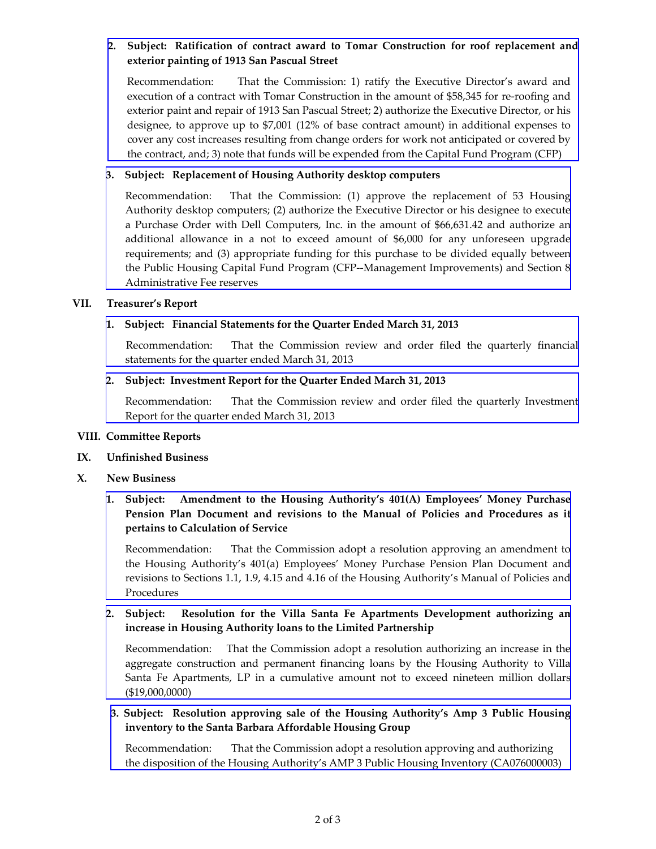# **2. Subject: Ratification of contract award to Tomar Construction for roof replacement and exterior painting of 1913 San Pascual Street**

[Recommendation:](http://www.hacsb.org/Library/agendas_minutes/2013/agenda_packet/Agenda_Packet_2013_06_05/item_VI_II_2013_06_05.pdf) That the Commission: 1) ratify the Executive Director's award and execution of a contract with Tomar Construction in the amount of \$58,345 for re-roofing and exterior paint and repair of 1913 San Pascual Street; 2) authorize the Executive Director, or his designee, to approve up to \$7,001 (12% of base contract amount) in additional expenses to cover any cost increases resulting from change orders for work not anticipated or covered by the contract, and; 3) note that funds will be expended from the Capital Fund Program (CFP)

### **3. Subject: Replacement of Housing Authority desktop computers**

[Recommendation:](http://www.hacsb.org/Library/agendas_minutes/2013/agenda_packet/Agenda_Packet_2013_06_05/item_VI_III_2013_06_05.pdf) That the Commission: (1) approve the replacement of 53 Housing Authority desktop computers; (2) authorize the Executive Director or his designee to execute a Purchase Order with Dell Computers, Inc. in the amount of \$66,631.42 and authorize an additional allowance in a not to exceed amount of \$6,000 for any unforeseen upgrade requirements; and (3) appropriate funding for this purchase to be divided equally between the Public Housing Capital Fund Program (CFP‐‐Management Improvements) and Section 8 Administrative Fee reserves

### **VII. Treasurer's Report**

### **1. Subject: Financial Statements for the Quarter Ended March 31, 2013**

 [Recommendation:](http://www.hacsb.org/Library/agendas_minutes/2013/agenda_packet/Agenda_Packet_2013_06_05/item_VII_I_2013_06_05.pdf) That the Commission review and order filed the quarterly financial statements for the quarter ended March 31, 2013

### **2. Subject: Investment Report for the Quarter Ended March 31, 2013**

[Recommendation:](http://www.hacsb.org/Library/agendas_minutes/2013/agenda_packet/Agenda_Packet_2013_06_05/item_VII_II_2013_06_05.pdf) That the Commission review and order filed the quarterly Investment Report for the quarter ended March 31, 2013

### **VIII. Committee Reports**

### **IX. Unfinished Business**

### **X. New Business**

**1. Subject: Amendment to the Housing Authority's 401(A) Employees' Money Purchase Pension Plan Document and revisions to the Manual of Policies and Procedures as it pertains to Calculation of Service**

[Recommendation:](http://www.hacsb.org/Library/agendas_minutes/2013/agenda_packet/Agenda_Packet_2013_06_05/item_X_I_2013_06_05.pdf) That the Commission adopt a resolution approving an amendment to the Housing Authority's 401(a) Employees' Money Purchase Pension Plan Document and revisions to Sections 1.1, 1.9, 4.15 and 4.16 of the Housing Authority's Manual of Policies and Procedures

# **2. Subject: Resolution for the Villa Santa Fe Apartments Development authorizing an increase in Housing Authority loans to the Limited Partnership**

[Recommendation:](http://www.hacsb.org/Library/agendas_minutes/2013/agenda_packet/Agenda_Packet_2013_06_05/item_X_II_2013_06_05.pdf) That the Commission adopt a resolution authorizing an increase in the aggregate construction and permanent financing loans by the Housing Authority to Villa Santa Fe Apartments, LP in a cumulative amount not to exceed nineteen million dollars (\$19,000,0000)

## **3. Subject: Resolution approving sale of the Housing Authority's Amp 3 Public Housing inventory to the Santa Barbara Affordable Housing Group**

[Recommendation:](http://www.hacsb.org/Library/agendas_minutes/2013/agenda_packet/Agenda_Packet_2013_06_05/item_X_III-IV_2013_06_05.pdf) That the Commission adopt a resolution approving and authorizing the disposition of the Housing Authority's AMP 3 Public Housing Inventory (CA076000003)